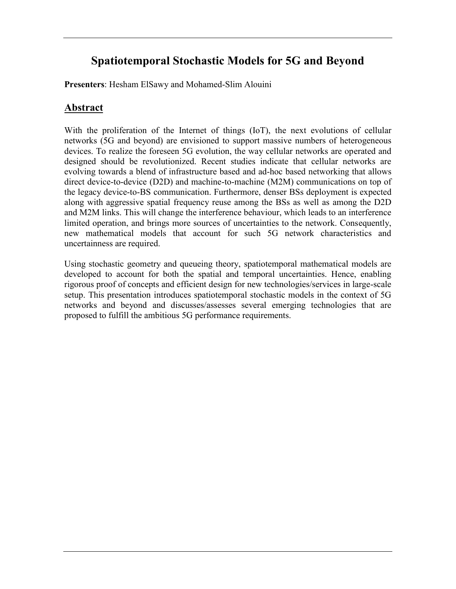# **Spatiotemporal Stochastic Models for 5G and Beyond**

**Presenters**: Hesham ElSawy and Mohamed-Slim Alouini

## **Abstract**

With the proliferation of the Internet of things (IoT), the next evolutions of cellular networks (5G and beyond) are envisioned to support massive numbers of heterogeneous devices. To realize the foreseen 5G evolution, the way cellular networks are operated and designed should be revolutionized. Recent studies indicate that cellular networks are evolving towards a blend of infrastructure based and ad-hoc based networking that allows direct device-to-device (D2D) and machine-to-machine (M2M) communications on top of the legacy device-to-BS communication. Furthermore, denser BSs deployment is expected along with aggressive spatial frequency reuse among the BSs as well as among the D2D and M2M links. This will change the interference behaviour, which leads to an interference limited operation, and brings more sources of uncertainties to the network. Consequently, new mathematical models that account for such 5G network characteristics and uncertainness are required.

Using stochastic geometry and queueing theory, spatiotemporal mathematical models are developed to account for both the spatial and temporal uncertainties. Hence, enabling rigorous proof of concepts and efficient design for new technologies/services in large-scale setup. This presentation introduces spatiotemporal stochastic models in the context of 5G networks and beyond and discusses/assesses several emerging technologies that are proposed to fulfill the ambitious 5G performance requirements.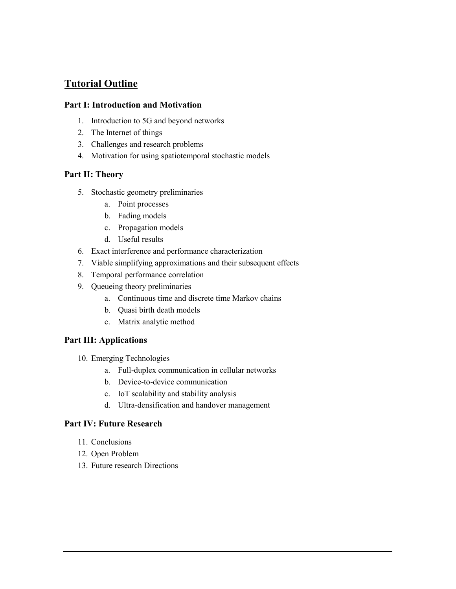### **Tutorial Outline**

#### **Part I: Introduction and Motivation**

- 1. Introduction to 5G and beyond networks
- 2. The Internet of things
- 3. Challenges and research problems
- 4. Motivation for using spatiotemporal stochastic models

#### **Part II: Theory**

- 5. Stochastic geometry preliminaries
	- a. Point processes
	- b. Fading models
	- c. Propagation models
	- d. Useful results
- 6. Exact interference and performance characterization
- 7. Viable simplifying approximations and their subsequent effects
- 8. Temporal performance correlation
- 9. Queueing theory preliminaries
	- a. Continuous time and discrete time Markov chains
	- b. Quasi birth death models
	- c. Matrix analytic method

#### **Part III: Applications**

- 10. Emerging Technologies
	- a. Full-duplex communication in cellular networks
	- b. Device-to-device communication
	- c. IoT scalability and stability analysis
	- d. Ultra-densification and handover management

#### **Part IV: Future Research**

- 11. Conclusions
- 12. Open Problem
- 13. Future research Directions